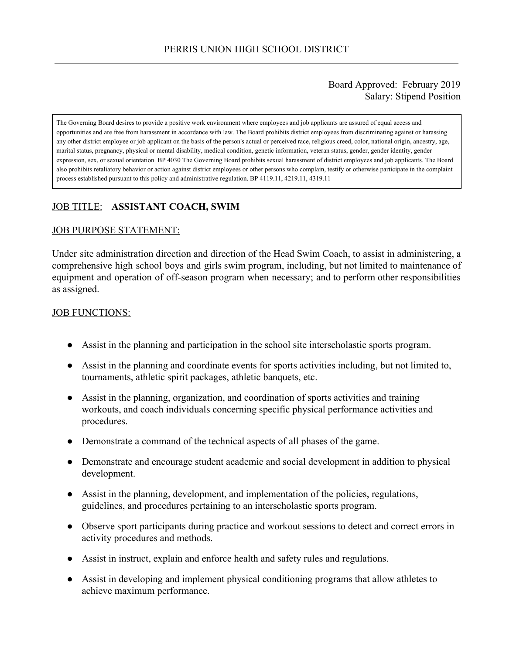### Board Approved: February 2019 Salary: Stipend Position

The Governing Board desires to provide a positive work environment where employees and job applicants are assured of equal access and opportunities and are free from harassment in accordance with law. The Board prohibits district employees from discriminating against or harassing any other district employee or job applicant on the basis of the person's actual or perceived race, religious creed, color, national origin, ancestry, age, marital status, pregnancy, physical or mental disability, medical condition, genetic information, veteran status, gender, gender identity, gender expression, sex, or sexual orientation. BP 4030 The Governing Board prohibits sexual harassment of district employees and job applicants. The Board also prohibits retaliatory behavior or action against district employees or other persons who complain, testify or otherwise participate in the complaint process established pursuant to this policy and administrative regulation. BP 4119.11, 4219.11, 4319.11

# JOB TITLE: **ASSISTANT COACH, SWIM**

#### JOB PURPOSE STATEMENT:

Under site administration direction and direction of the Head Swim Coach, to assist in administering, a comprehensive high school boys and girls swim program, including, but not limited to maintenance of equipment and operation of off-season program when necessary; and to perform other responsibilities as assigned.

#### JOB FUNCTIONS:

- Assist in the planning and participation in the school site interscholastic sports program.
- Assist in the planning and coordinate events for sports activities including, but not limited to, tournaments, athletic spirit packages, athletic banquets, etc.
- Assist in the planning, organization, and coordination of sports activities and training workouts, and coach individuals concerning specific physical performance activities and procedures.
- Demonstrate a command of the technical aspects of all phases of the game.
- Demonstrate and encourage student academic and social development in addition to physical development.
- Assist in the planning, development, and implementation of the policies, regulations, guidelines, and procedures pertaining to an interscholastic sports program.
- Observe sport participants during practice and workout sessions to detect and correct errors in activity procedures and methods.
- Assist in instruct, explain and enforce health and safety rules and regulations.
- Assist in developing and implement physical conditioning programs that allow athletes to achieve maximum performance.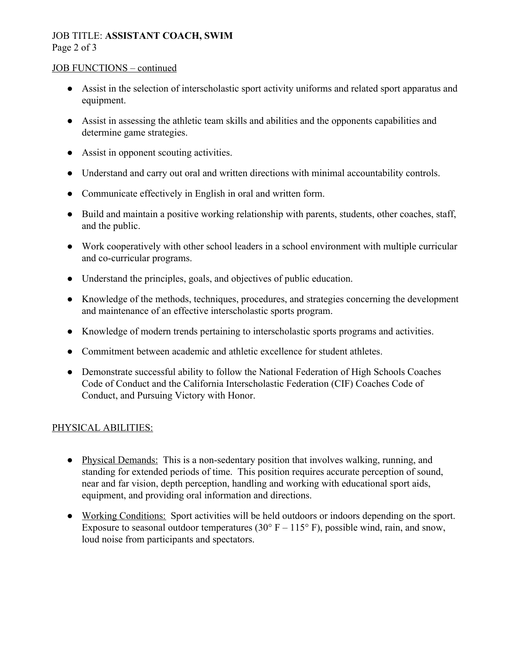## JOB TITLE: **ASSISTANT COACH, SWIM** Page 2 of 3

#### JOB FUNCTIONS – continued

- Assist in the selection of interscholastic sport activity uniforms and related sport apparatus and equipment.
- Assist in assessing the athletic team skills and abilities and the opponents capabilities and determine game strategies.
- Assist in opponent scouting activities.
- Understand and carry out oral and written directions with minimal accountability controls.
- Communicate effectively in English in oral and written form.
- Build and maintain a positive working relationship with parents, students, other coaches, staff, and the public.
- Work cooperatively with other school leaders in a school environment with multiple curricular and co-curricular programs.
- Understand the principles, goals, and objectives of public education.
- Knowledge of the methods, techniques, procedures, and strategies concerning the development and maintenance of an effective interscholastic sports program.
- Knowledge of modern trends pertaining to interscholastic sports programs and activities.
- Commitment between academic and athletic excellence for student athletes.
- Demonstrate successful ability to follow the National Federation of High Schools Coaches Code of Conduct and the California Interscholastic Federation (CIF) Coaches Code of Conduct, and Pursuing Victory with Honor.

## PHYSICAL ABILITIES:

- Physical Demands: This is a non-sedentary position that involves walking, running, and standing for extended periods of time. This position requires accurate perception of sound, near and far vision, depth perception, handling and working with educational sport aids, equipment, and providing oral information and directions.
- Working Conditions: Sport activities will be held outdoors or indoors depending on the sport. Exposure to seasonal outdoor temperatures (30 $\degree$  F – 115 $\degree$  F), possible wind, rain, and snow, loud noise from participants and spectators.